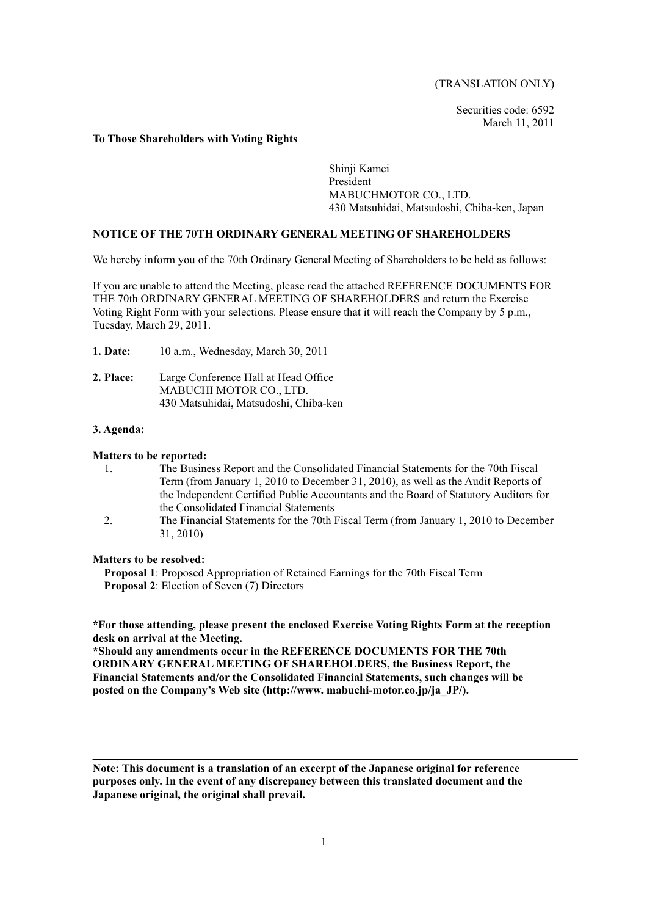(TRANSLATION ONLY)

Securities code: 6592 March 11, 2011

### **To Those Shareholders with Voting Rights**

Shinji Kamei President MABUCHMOTOR CO., LTD. 430 Matsuhidai, Matsudoshi, Chiba-ken, Japan

## **NOTICE OF THE 70TH ORDINARY GENERAL MEETING OF SHAREHOLDERS**

We hereby inform you of the 70th Ordinary General Meeting of Shareholders to be held as follows:

If you are unable to attend the Meeting, please read the attached REFERENCE DOCUMENTS FOR THE 70th ORDINARY GENERAL MEETING OF SHAREHOLDERS and return the Exercise Voting Right Form with your selections. Please ensure that it will reach the Company by 5 p.m., Tuesday, March 29, 2011.

- **1. Date:** 10 a.m., Wednesday, March 30, 2011
- **2. Place:** Large Conference Hall at Head Office MABUCHI MOTOR CO., LTD. 430 Matsuhidai, Matsudoshi, Chiba-ken

#### **3. Agenda:**

#### **Matters to be reported:**

- 1. The Business Report and the Consolidated Financial Statements for the 70th Fiscal Term (from January 1, 2010 to December 31, 2010), as well as the Audit Reports of the Independent Certified Public Accountants and the Board of Statutory Auditors for the Consolidated Financial Statements
- 2. The Financial Statements for the 70th Fiscal Term (from January 1, 2010 to December 31, 2010)

#### **Matters to be resolved:**

**Proposal 1**: Proposed Appropriation of Retained Earnings for the 70th Fiscal Term **Proposal 2**: Election of Seven (7) Directors

# **\*For those attending, please present the enclosed Exercise Voting Rights Form at the reception desk on arrival at the Meeting.**

**\*Should any amendments occur in the REFERENCE DOCUMENTS FOR THE 70th ORDINARY GENERAL MEETING OF SHAREHOLDERS, the Business Report, the Financial Statements and/or the Consolidated Financial Statements, such changes will be posted on the Company's Web site (http://www. mabuchi-motor.co.jp/ja\_JP/).** 

**Note: This document is a translation of an excerpt of the Japanese original for reference purposes only. In the event of any discrepancy between this translated document and the Japanese original, the original shall prevail.**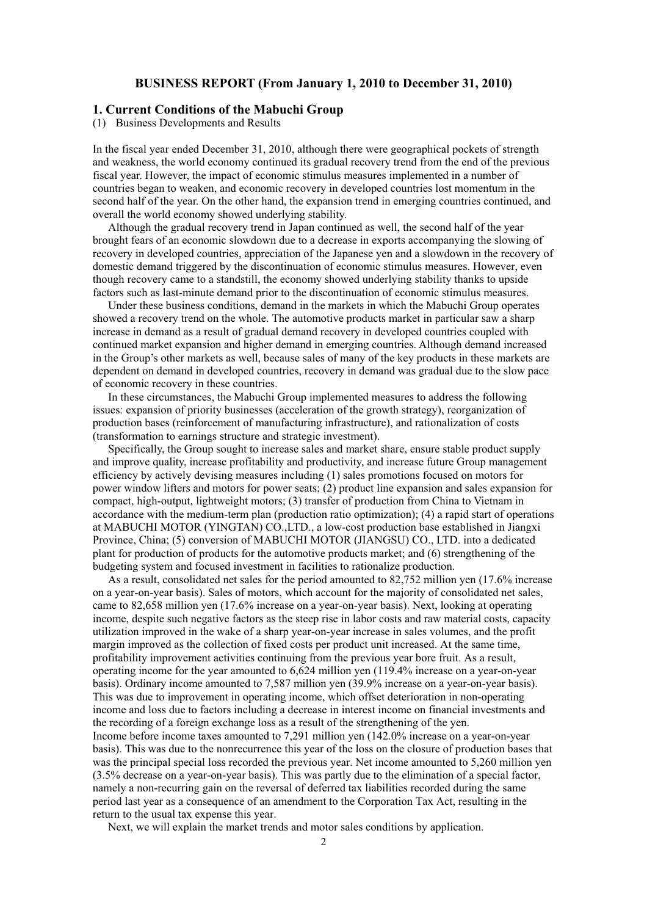## **BUSINESS REPORT (From January 1, 2010 to December 31, 2010)**

# **1. Current Conditions of the Mabuchi Group**

(1) Business Developments and Results

In the fiscal year ended December 31, 2010, although there were geographical pockets of strength and weakness, the world economy continued its gradual recovery trend from the end of the previous fiscal year. However, the impact of economic stimulus measures implemented in a number of countries began to weaken, and economic recovery in developed countries lost momentum in the second half of the year. On the other hand, the expansion trend in emerging countries continued, and overall the world economy showed underlying stability.

Although the gradual recovery trend in Japan continued as well, the second half of the year brought fears of an economic slowdown due to a decrease in exports accompanying the slowing of recovery in developed countries, appreciation of the Japanese yen and a slowdown in the recovery of domestic demand triggered by the discontinuation of economic stimulus measures. However, even though recovery came to a standstill, the economy showed underlying stability thanks to upside factors such as last-minute demand prior to the discontinuation of economic stimulus measures.

Under these business conditions, demand in the markets in which the Mabuchi Group operates showed a recovery trend on the whole. The automotive products market in particular saw a sharp increase in demand as a result of gradual demand recovery in developed countries coupled with continued market expansion and higher demand in emerging countries. Although demand increased in the Group's other markets as well, because sales of many of the key products in these markets are dependent on demand in developed countries, recovery in demand was gradual due to the slow pace of economic recovery in these countries.

In these circumstances, the Mabuchi Group implemented measures to address the following issues: expansion of priority businesses (acceleration of the growth strategy), reorganization of production bases (reinforcement of manufacturing infrastructure), and rationalization of costs (transformation to earnings structure and strategic investment).

Specifically, the Group sought to increase sales and market share, ensure stable product supply and improve quality, increase profitability and productivity, and increase future Group management efficiency by actively devising measures including (1) sales promotions focused on motors for power window lifters and motors for power seats; (2) product line expansion and sales expansion for compact, high-output, lightweight motors; (3) transfer of production from China to Vietnam in accordance with the medium-term plan (production ratio optimization); (4) a rapid start of operations at MABUCHI MOTOR (YINGTAN) CO.,LTD., a low-cost production base established in Jiangxi Province, China; (5) conversion of MABUCHI MOTOR (JIANGSU) CO., LTD. into a dedicated plant for production of products for the automotive products market; and (6) strengthening of the budgeting system and focused investment in facilities to rationalize production.

As a result, consolidated net sales for the period amounted to 82,752 million yen (17.6% increase on a year-on-year basis). Sales of motors, which account for the majority of consolidated net sales, came to 82,658 million yen (17.6% increase on a year-on-year basis). Next, looking at operating income, despite such negative factors as the steep rise in labor costs and raw material costs, capacity utilization improved in the wake of a sharp year-on-year increase in sales volumes, and the profit margin improved as the collection of fixed costs per product unit increased. At the same time, profitability improvement activities continuing from the previous year bore fruit. As a result, operating income for the year amounted to 6,624 million yen (119.4% increase on a year-on-year basis). Ordinary income amounted to 7,587 million yen (39.9% increase on a year-on-year basis). This was due to improvement in operating income, which offset deterioration in non-operating income and loss due to factors including a decrease in interest income on financial investments and the recording of a foreign exchange loss as a result of the strengthening of the yen. Income before income taxes amounted to 7,291 million yen (142.0% increase on a year-on-year basis). This was due to the nonrecurrence this year of the loss on the closure of production bases that was the principal special loss recorded the previous year. Net income amounted to 5,260 million yen (3.5% decrease on a year-on-year basis). This was partly due to the elimination of a special factor, namely a non-recurring gain on the reversal of deferred tax liabilities recorded during the same period last year as a consequence of an amendment to the Corporation Tax Act, resulting in the return to the usual tax expense this year.

Next, we will explain the market trends and motor sales conditions by application.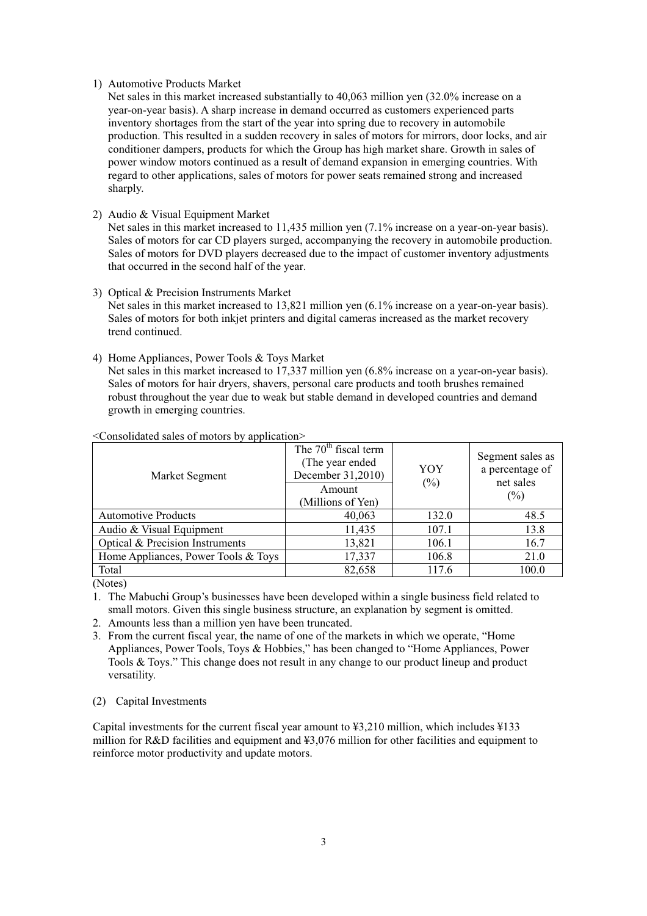### 1) Automotive Products Market

Net sales in this market increased substantially to 40,063 million yen (32.0% increase on a year-on-year basis). A sharp increase in demand occurred as customers experienced parts inventory shortages from the start of the year into spring due to recovery in automobile production. This resulted in a sudden recovery in sales of motors for mirrors, door locks, and air conditioner dampers, products for which the Group has high market share. Growth in sales of power window motors continued as a result of demand expansion in emerging countries. With regard to other applications, sales of motors for power seats remained strong and increased sharply.

2) Audio & Visual Equipment Market

Net sales in this market increased to 11,435 million yen (7.1% increase on a year-on-year basis). Sales of motors for car CD players surged, accompanying the recovery in automobile production. Sales of motors for DVD players decreased due to the impact of customer inventory adjustments that occurred in the second half of the year.

3) Optical & Precision Instruments Market

Net sales in this market increased to 13,821 million yen (6.1% increase on a year-on-year basis). Sales of motors for both inkjet printers and digital cameras increased as the market recovery trend continued.

4) Home Appliances, Power Tools & Toys Market

Net sales in this market increased to 17,337 million yen (6.8% increase on a year-on-year basis). Sales of motors for hair dryers, shavers, personal care products and tooth brushes remained robust throughout the year due to weak but stable demand in developed countries and demand growth in emerging countries.

| Market Segment                      | The $70th$ fiscal term<br>(The year ended)<br>December 31,2010)<br>Amount<br>(Millions of Yen) | YOY<br>(%) | Segment sales as<br>a percentage of<br>net sales<br>$(\%)$ |
|-------------------------------------|------------------------------------------------------------------------------------------------|------------|------------------------------------------------------------|
| <b>Automotive Products</b>          | 40,063                                                                                         | 132.0      | 48.5                                                       |
| Audio & Visual Equipment            | 11,435                                                                                         | 107.1      | 13.8                                                       |
| Optical & Precision Instruments     | 13,821                                                                                         | 106.1      | 16.7                                                       |
| Home Appliances, Power Tools & Toys | 17,337                                                                                         | 106.8      | 21.0                                                       |
| Total                               | 82,658                                                                                         | 117.6      | 100.0                                                      |

<Consolidated sales of motors by application>

(Notes)

- 2. Amounts less than a million yen have been truncated.
- 3. From the current fiscal year, the name of one of the markets in which we operate, "Home Appliances, Power Tools, Toys & Hobbies," has been changed to "Home Appliances, Power Tools & Toys." This change does not result in any change to our product lineup and product versatility.
- (2) Capital Investments

Capital investments for the current fiscal year amount to ¥3,210 million, which includes ¥133 million for R&D facilities and equipment and ¥3,076 million for other facilities and equipment to reinforce motor productivity and update motors.

<sup>1.</sup> The Mabuchi Group's businesses have been developed within a single business field related to small motors. Given this single business structure, an explanation by segment is omitted.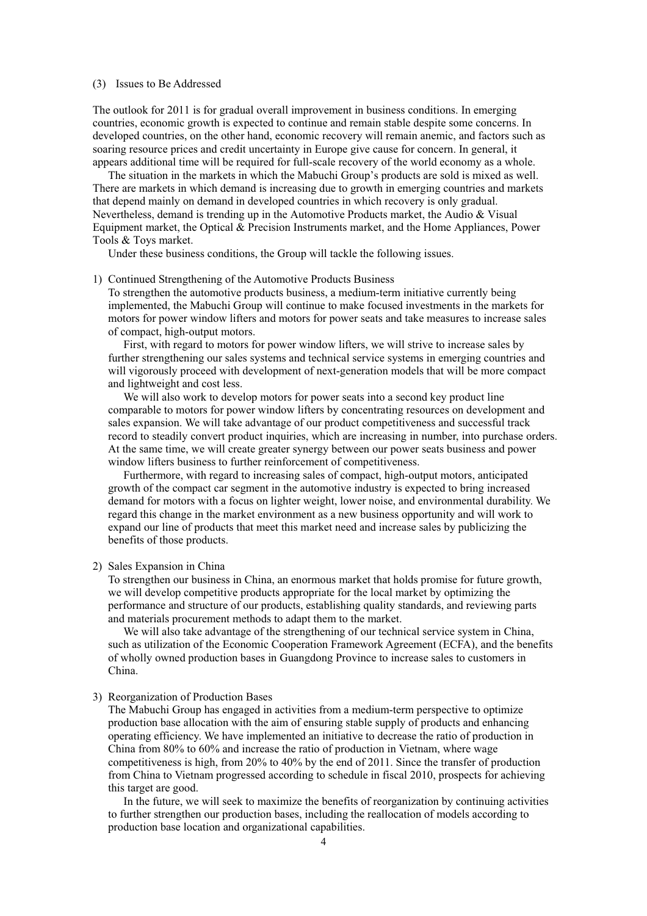#### (3) Issues to Be Addressed

The outlook for 2011 is for gradual overall improvement in business conditions. In emerging countries, economic growth is expected to continue and remain stable despite some concerns. In developed countries, on the other hand, economic recovery will remain anemic, and factors such as soaring resource prices and credit uncertainty in Europe give cause for concern. In general, it appears additional time will be required for full-scale recovery of the world economy as a whole.

The situation in the markets in which the Mabuchi Group's products are sold is mixed as well. There are markets in which demand is increasing due to growth in emerging countries and markets that depend mainly on demand in developed countries in which recovery is only gradual. Nevertheless, demand is trending up in the Automotive Products market, the Audio & Visual Equipment market, the Optical & Precision Instruments market, and the Home Appliances, Power Tools & Toys market.

Under these business conditions, the Group will tackle the following issues.

### 1) Continued Strengthening of the Automotive Products Business

To strengthen the automotive products business, a medium-term initiative currently being implemented, the Mabuchi Group will continue to make focused investments in the markets for motors for power window lifters and motors for power seats and take measures to increase sales of compact, high-output motors.

First, with regard to motors for power window lifters, we will strive to increase sales by further strengthening our sales systems and technical service systems in emerging countries and will vigorously proceed with development of next-generation models that will be more compact and lightweight and cost less.

We will also work to develop motors for power seats into a second key product line comparable to motors for power window lifters by concentrating resources on development and sales expansion. We will take advantage of our product competitiveness and successful track record to steadily convert product inquiries, which are increasing in number, into purchase orders. At the same time, we will create greater synergy between our power seats business and power window lifters business to further reinforcement of competitiveness.

Furthermore, with regard to increasing sales of compact, high-output motors, anticipated growth of the compact car segment in the automotive industry is expected to bring increased demand for motors with a focus on lighter weight, lower noise, and environmental durability. We regard this change in the market environment as a new business opportunity and will work to expand our line of products that meet this market need and increase sales by publicizing the benefits of those products.

#### 2) Sales Expansion in China

To strengthen our business in China, an enormous market that holds promise for future growth, we will develop competitive products appropriate for the local market by optimizing the performance and structure of our products, establishing quality standards, and reviewing parts and materials procurement methods to adapt them to the market.

We will also take advantage of the strengthening of our technical service system in China, such as utilization of the Economic Cooperation Framework Agreement (ECFA), and the benefits of wholly owned production bases in Guangdong Province to increase sales to customers in China.

#### 3) Reorganization of Production Bases

The Mabuchi Group has engaged in activities from a medium-term perspective to optimize production base allocation with the aim of ensuring stable supply of products and enhancing operating efficiency. We have implemented an initiative to decrease the ratio of production in China from 80% to 60% and increase the ratio of production in Vietnam, where wage competitiveness is high, from 20% to 40% by the end of 2011. Since the transfer of production from China to Vietnam progressed according to schedule in fiscal 2010, prospects for achieving this target are good.

In the future, we will seek to maximize the benefits of reorganization by continuing activities to further strengthen our production bases, including the reallocation of models according to production base location and organizational capabilities.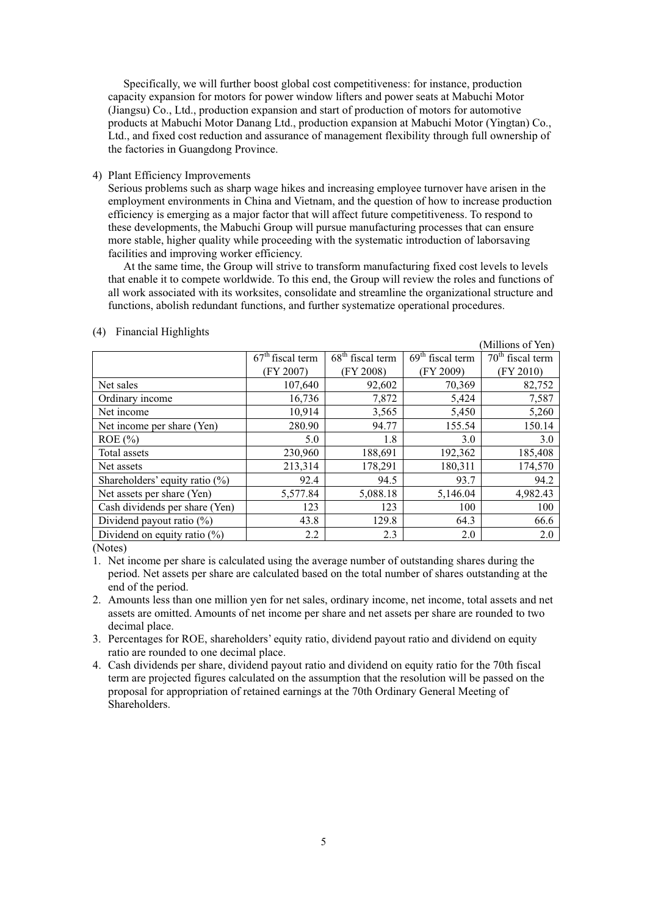Specifically, we will further boost global cost competitiveness: for instance, production capacity expansion for motors for power window lifters and power seats at Mabuchi Motor (Jiangsu) Co., Ltd., production expansion and start of production of motors for automotive products at Mabuchi Motor Danang Ltd., production expansion at Mabuchi Motor (Yingtan) Co., Ltd., and fixed cost reduction and assurance of management flexibility through full ownership of the factories in Guangdong Province.

### 4) Plant Efficiency Improvements

Serious problems such as sharp wage hikes and increasing employee turnover have arisen in the employment environments in China and Vietnam, and the question of how to increase production efficiency is emerging as a major factor that will affect future competitiveness. To respond to these developments, the Mabuchi Group will pursue manufacturing processes that can ensure more stable, higher quality while proceeding with the systematic introduction of laborsaving facilities and improving worker efficiency.

At the same time, the Group will strive to transform manufacturing fixed cost levels to levels that enable it to compete worldwide. To this end, the Group will review the roles and functions of all work associated with its worksites, consolidate and streamline the organizational structure and functions, abolish redundant functions, and further systematize operational procedures.

|                                   |                    |                    |                    | (Millions of Yen)  |
|-----------------------------------|--------------------|--------------------|--------------------|--------------------|
|                                   | $67th$ fiscal term | $68th$ fiscal term | $69th$ fiscal term | $70th$ fiscal term |
|                                   | (FY 2007)          | (FY 2008)          | (FY 2009)          | (FY 2010)          |
| Net sales                         | 107,640            | 92,602             | 70,369             | 82,752             |
| Ordinary income                   | 16,736             | 7,872              | 5,424              | 7,587              |
| Net income                        | 10,914             | 3,565              | 5,450              | 5,260              |
| Net income per share (Yen)        | 280.90             | 94.77              | 155.54             | 150.14             |
| $ROE$ (%)                         | 5.0                | 1.8                | 3.0                | 3.0                |
| Total assets                      | 230,960            | 188,691            | 192,362            | 185,408            |
| Net assets                        | 213,314            | 178,291            | 180,311            | 174,570            |
| Shareholders' equity ratio $(\%)$ | 92.4               | 94.5               | 93.7               | 94.2               |
| Net assets per share (Yen)        | 5,577.84           | 5,088.18           | 5,146.04           | 4,982.43           |
| Cash dividends per share (Yen)    | 123                | 123                | 100                | 100                |
| Dividend payout ratio $(\%)$      | 43.8               | 129.8              | 64.3               | 66.6               |
| Dividend on equity ratio $(\%)$   | 2.2                | 2.3                | 2.0                | 2.0                |

#### (4) Financial Highlights

(Notes)

- 1. Net income per share is calculated using the average number of outstanding shares during the period. Net assets per share are calculated based on the total number of shares outstanding at the end of the period.
- 2. Amounts less than one million yen for net sales, ordinary income, net income, total assets and net assets are omitted. Amounts of net income per share and net assets per share are rounded to two decimal place.
- 3. Percentages for ROE, shareholders' equity ratio, dividend payout ratio and dividend on equity ratio are rounded to one decimal place.
- 4. Cash dividends per share, dividend payout ratio and dividend on equity ratio for the 70th fiscal term are projected figures calculated on the assumption that the resolution will be passed on the proposal for appropriation of retained earnings at the 70th Ordinary General Meeting of Shareholders.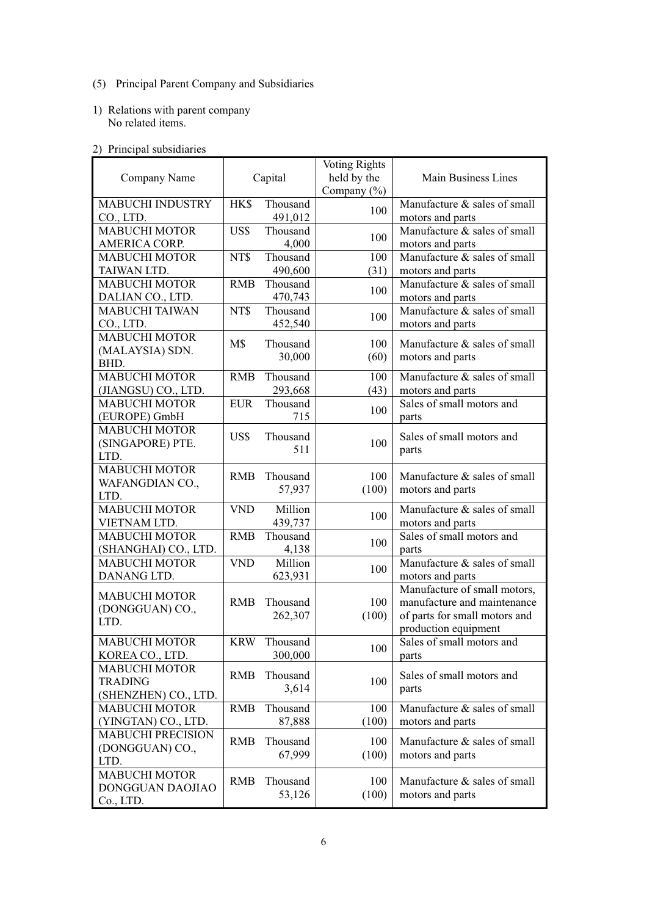- (5) Principal Parent Company and Subsidiaries
- 1) Relations with parent company No related items.

# 2) Principal subsidiaries

| Company Name                                                   | Capital    |                     | <b>Voting Rights</b><br>held by the<br>Company $(\% )$ | Main Business Lines                                                                                                  |
|----------------------------------------------------------------|------------|---------------------|--------------------------------------------------------|----------------------------------------------------------------------------------------------------------------------|
| <b>MABUCHI INDUSTRY</b><br>CO., LTD.                           | HK\$       | Thousand<br>491,012 | 100                                                    | Manufacture & sales of small<br>motors and parts                                                                     |
| <b>MABUCHI MOTOR</b><br>AMERICA CORP.                          | US\$       | Thousand<br>4,000   | 100                                                    | Manufacture & sales of small<br>motors and parts                                                                     |
| <b>MABUCHI MOTOR</b><br>TAIWAN LTD.                            | NT\$       | Thousand<br>490,600 | 100<br>(31)                                            | Manufacture & sales of small<br>motors and parts                                                                     |
| <b>MABUCHI MOTOR</b><br>DALIAN CO., LTD.                       | <b>RMB</b> | Thousand<br>470,743 | 100                                                    | Manufacture & sales of small<br>motors and parts                                                                     |
| <b>MABUCHI TAIWAN</b><br>CO., LTD.                             | NT\$       | Thousand<br>452,540 | 100                                                    | Manufacture & sales of small<br>motors and parts                                                                     |
| <b>MABUCHI MOTOR</b><br>(MALAYSIA) SDN.<br>BHD.                | M\$        | Thousand<br>30,000  | 100<br>(60)                                            | Manufacture & sales of small<br>motors and parts                                                                     |
| <b>MABUCHI MOTOR</b><br>(JIANGSU) CO., LTD.                    | <b>RMB</b> | Thousand<br>293,668 | 100<br>(43)                                            | Manufacture & sales of small<br>motors and parts                                                                     |
| <b>MABUCHI MOTOR</b><br>(EUROPE) GmbH                          | <b>EUR</b> | Thousand<br>715     | 100                                                    | Sales of small motors and<br>parts                                                                                   |
| <b>MABUCHI MOTOR</b><br>(SINGAPORE) PTE.<br>LTD.               | US\$       | Thousand<br>511     | 100                                                    | Sales of small motors and<br>parts                                                                                   |
| <b>MABUCHI MOTOR</b><br>WAFANGDIAN CO.,<br>LTD.                | <b>RMB</b> | Thousand<br>57,937  | 100<br>(100)                                           | Manufacture & sales of small<br>motors and parts                                                                     |
| MABUCHI MOTOR<br>VIETNAM LTD.                                  | <b>VND</b> | Million<br>439,737  | 100                                                    | Manufacture & sales of small<br>motors and parts                                                                     |
| <b>MABUCHI MOTOR</b><br>(SHANGHAI) CO., LTD.                   | <b>RMB</b> | Thousand<br>4,138   | 100                                                    | Sales of small motors and<br>parts                                                                                   |
| <b>MABUCHI MOTOR</b><br>DANANG LTD.                            | <b>VND</b> | Million<br>623,931  | 100                                                    | Manufacture & sales of small<br>motors and parts                                                                     |
| <b>MABUCHI MOTOR</b><br>(DONGGUAN) CO.,<br>LTD.                | <b>RMB</b> | Thousand<br>262,307 | 100<br>(100)                                           | Manufacture of small motors,<br>manufacture and maintenance<br>of parts for small motors and<br>production equipment |
| <b>MABUCHI MOTOR</b><br>KOREA CO., LTD.                        | <b>KRW</b> | Thousand<br>300,000 | 100                                                    | Sales of small motors and<br>parts                                                                                   |
| <b>MABUCHI MOTOR</b><br><b>TRADING</b><br>(SHENZHEN) CO., LTD. | <b>RMB</b> | Thousand<br>3,614   | 100                                                    | Sales of small motors and<br>parts                                                                                   |
| <b>MABUCHI MOTOR</b><br>(YINGTAN) CO., LTD.                    | <b>RMB</b> | Thousand<br>87,888  | 100<br>(100)                                           | Manufacture & sales of small<br>motors and parts                                                                     |
| <b>MABUCHI PRECISION</b><br>(DONGGUAN) CO.,<br>LTD.            | <b>RMB</b> | Thousand<br>67,999  | 100<br>(100)                                           | Manufacture & sales of small<br>motors and parts                                                                     |
| <b>MABUCHI MOTOR</b><br>DONGGUAN DAOJIAO<br>Co., LTD.          | <b>RMB</b> | Thousand<br>53,126  | 100<br>(100)                                           | Manufacture & sales of small<br>motors and parts                                                                     |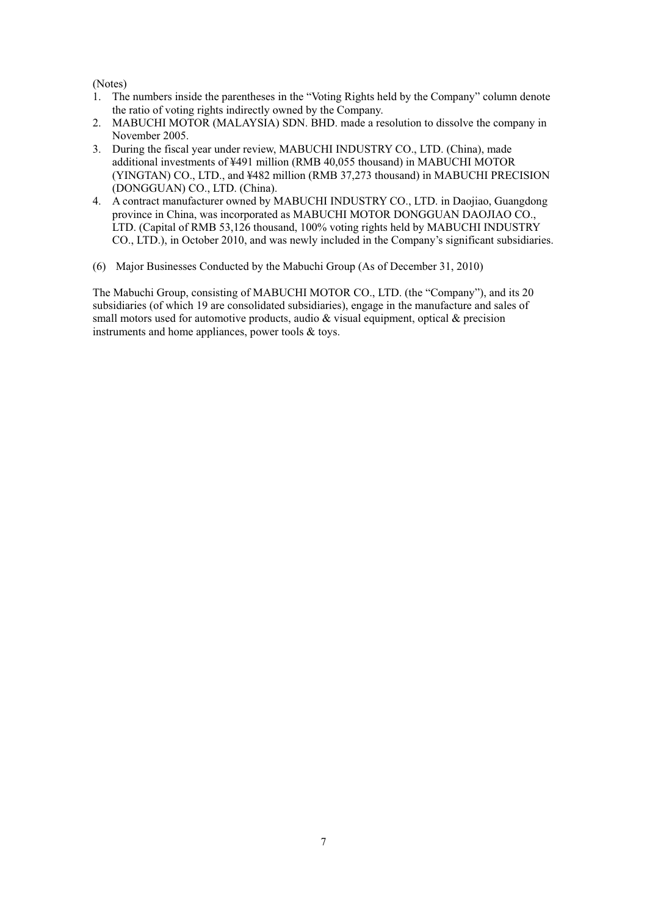(Notes)

- 1. The numbers inside the parentheses in the "Voting Rights held by the Company" column denote the ratio of voting rights indirectly owned by the Company.
- 2. MABUCHI MOTOR (MALAYSIA) SDN. BHD. made a resolution to dissolve the company in November 2005.
- 3. During the fiscal year under review, MABUCHI INDUSTRY CO., LTD. (China), made additional investments of ¥491 million (RMB 40,055 thousand) in MABUCHI MOTOR (YINGTAN) CO., LTD., and ¥482 million (RMB 37,273 thousand) in MABUCHI PRECISION (DONGGUAN) CO., LTD. (China).
- 4. A contract manufacturer owned by MABUCHI INDUSTRY CO., LTD. in Daojiao, Guangdong province in China, was incorporated as MABUCHI MOTOR DONGGUAN DAOJIAO CO., LTD. (Capital of RMB 53,126 thousand, 100% voting rights held by MABUCHI INDUSTRY CO., LTD.), in October 2010, and was newly included in the Company's significant subsidiaries.
- (6) Major Businesses Conducted by the Mabuchi Group (As of December 31, 2010)

The Mabuchi Group, consisting of MABUCHI MOTOR CO., LTD. (the "Company"), and its 20 subsidiaries (of which 19 are consolidated subsidiaries), engage in the manufacture and sales of small motors used for automotive products, audio & visual equipment, optical & precision instruments and home appliances, power tools & toys.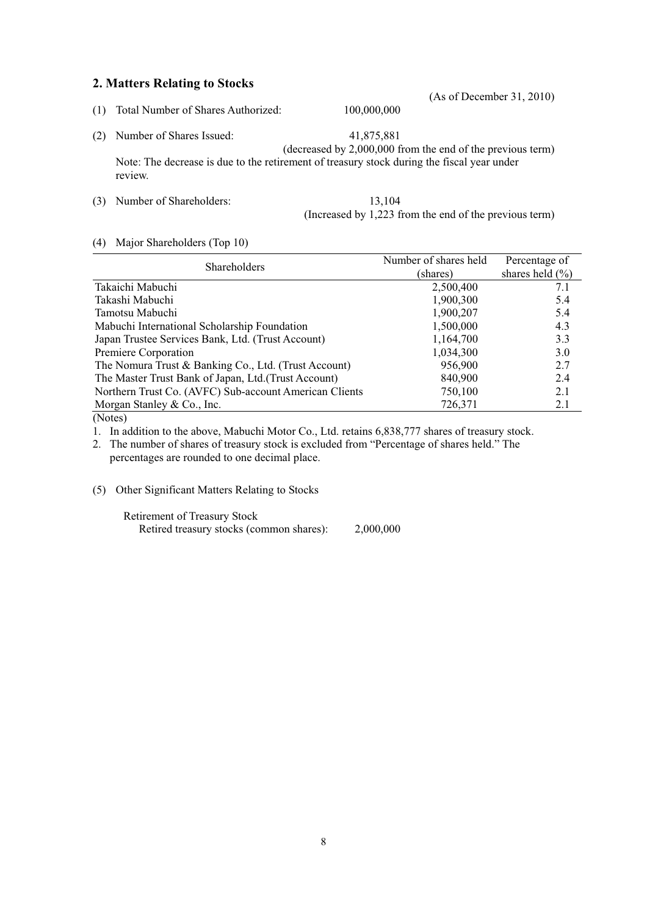# **2. Matters Relating to Stocks**

- (1) Total Number of Shares Authorized: 100,000,000
- (2) Number of Shares Issued: 41,875,881 (decreased by 2,000,000 from the end of the previous term) Note: The decrease is due to the retirement of treasury stock during the fiscal year under
- (3) Number of Shareholders: 13,104 (Increased by 1,223 from the end of the previous term)

### (4) Major Shareholders (Top 10)

review.

| <b>Shareholders</b>                                    | Number of shares held | Percentage of       |
|--------------------------------------------------------|-----------------------|---------------------|
|                                                        | (shares)              | shares held $(\% )$ |
| Takaichi Mabuchi                                       | 2,500,400             | 7.1                 |
| Takashi Mabuchi                                        | 1,900,300             | 5.4                 |
| Tamotsu Mabuchi                                        | 1,900,207             | 5.4                 |
| Mabuchi International Scholarship Foundation           | 1,500,000             | 4.3                 |
| Japan Trustee Services Bank, Ltd. (Trust Account)      | 1,164,700             | 3.3                 |
| Premiere Corporation                                   | 1,034,300             | 3.0                 |
| The Nomura Trust & Banking Co., Ltd. (Trust Account)   | 956,900               | 2.7                 |
| The Master Trust Bank of Japan, Ltd. (Trust Account)   | 840,900               | 2.4                 |
| Northern Trust Co. (AVFC) Sub-account American Clients | 750,100               | 2.1                 |
| Morgan Stanley & Co., Inc.                             | 726,371               | 2.1                 |

(Notes)

1. In addition to the above, Mabuchi Motor Co., Ltd. retains 6,838,777 shares of treasury stock.

2. The number of shares of treasury stock is excluded from "Percentage of shares held." The percentages are rounded to one decimal place.

(5) Other Significant Matters Relating to Stocks

Retirement of Treasury Stock Retired treasury stocks (common shares): 2,000,000 (As of December 31, 2010)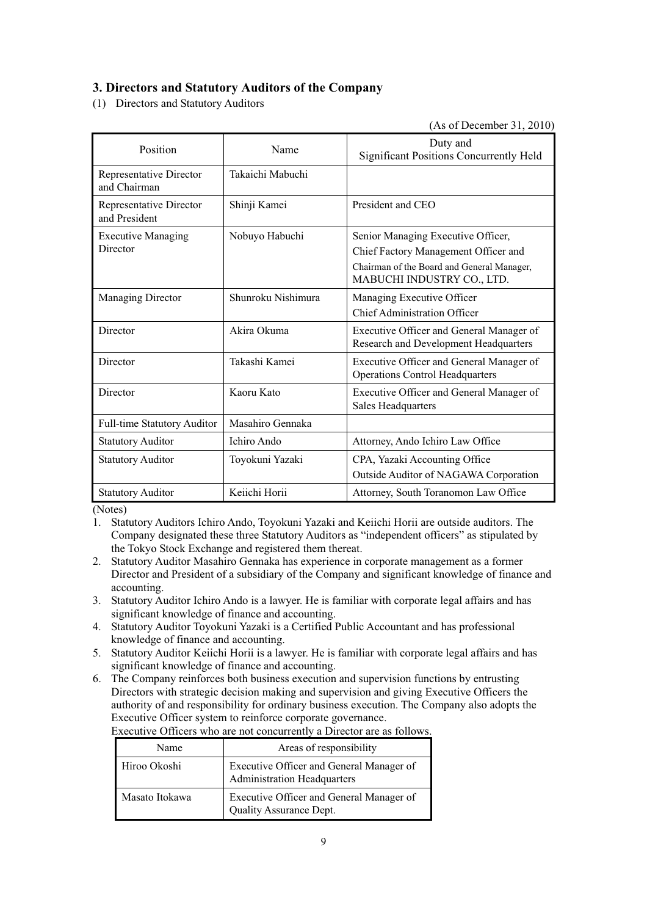# **3. Directors and Statutory Auditors of the Company**

(1) Directors and Statutory Auditors

(As of December 31, 2010)

| Position                                 | Name               | Duty and<br><b>Significant Positions Concurrently Held</b>                         |
|------------------------------------------|--------------------|------------------------------------------------------------------------------------|
| Representative Director<br>and Chairman  | Takaichi Mabuchi   |                                                                                    |
| Representative Director<br>and President | Shinji Kamei       | President and CEO                                                                  |
| <b>Executive Managing</b>                | Nobuyo Habuchi     | Senior Managing Executive Officer,                                                 |
| Director                                 |                    | Chief Factory Management Officer and                                               |
|                                          |                    | Chairman of the Board and General Manager,<br>MABUCHI INDUSTRY CO., LTD.           |
| <b>Managing Director</b>                 | Shunroku Nishimura | Managing Executive Officer                                                         |
|                                          |                    | <b>Chief Administration Officer</b>                                                |
| Director                                 | Akira Okuma        | Executive Officer and General Manager of<br>Research and Development Headquarters  |
| Director                                 | Takashi Kamei      | Executive Officer and General Manager of<br><b>Operations Control Headquarters</b> |
| Director                                 | Kaoru Kato         | Executive Officer and General Manager of<br>Sales Headquarters                     |
| Full-time Statutory Auditor              | Masahiro Gennaka   |                                                                                    |
| <b>Statutory Auditor</b>                 | Ichiro Ando        | Attorney, Ando Ichiro Law Office                                                   |
| <b>Statutory Auditor</b>                 | Toyokuni Yazaki    | CPA, Yazaki Accounting Office                                                      |
|                                          |                    | Outside Auditor of NAGAWA Corporation                                              |
| <b>Statutory Auditor</b>                 | Keiichi Horii      | Attorney, South Toranomon Law Office                                               |

(Notes)

1. Statutory Auditors Ichiro Ando, Toyokuni Yazaki and Keiichi Horii are outside auditors. The Company designated these three Statutory Auditors as "independent officers" as stipulated by the Tokyo Stock Exchange and registered them thereat.

- 2. Statutory Auditor Masahiro Gennaka has experience in corporate management as a former Director and President of a subsidiary of the Company and significant knowledge of finance and accounting.
- 3. Statutory Auditor Ichiro Ando is a lawyer. He is familiar with corporate legal affairs and has significant knowledge of finance and accounting.
- 4. Statutory Auditor Toyokuni Yazaki is a Certified Public Accountant and has professional knowledge of finance and accounting.
- 5. Statutory Auditor Keiichi Horii is a lawyer. He is familiar with corporate legal affairs and has significant knowledge of finance and accounting.
- 6. The Company reinforces both business execution and supervision functions by entrusting Directors with strategic decision making and supervision and giving Executive Officers the authority of and responsibility for ordinary business execution. The Company also adopts the Executive Officer system to reinforce corporate governance.

| Name           | Areas of responsibility                                                        |
|----------------|--------------------------------------------------------------------------------|
| Hiroo Okoshi   | Executive Officer and General Manager of<br><b>Administration Headquarters</b> |
| Masato Itokawa | Executive Officer and General Manager of<br>Quality Assurance Dept.            |

Executive Officers who are not concurrently a Director are as follows.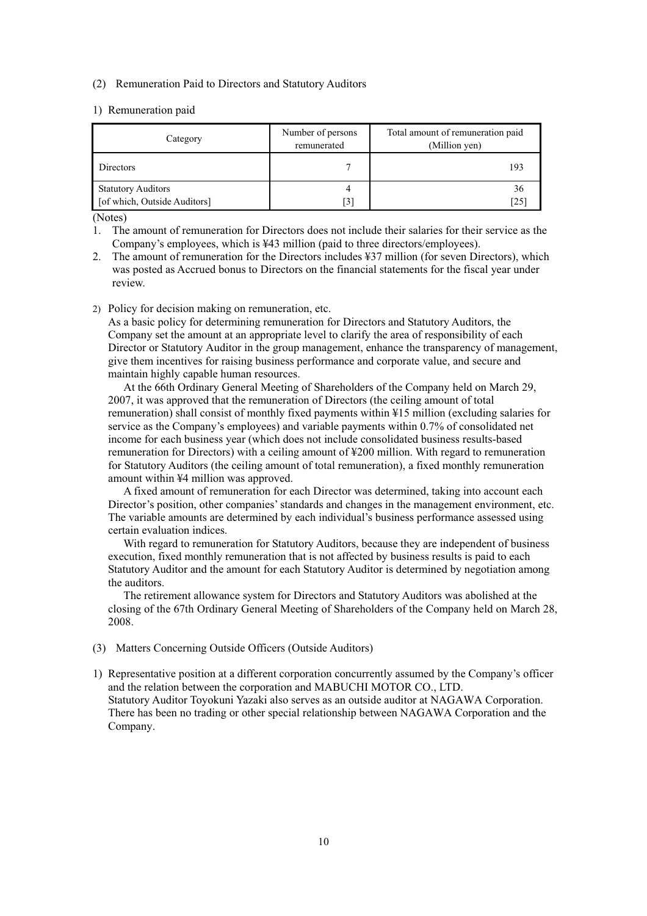#### (2) Remuneration Paid to Directors and Statutory Auditors

#### 1) Remuneration paid

| Category                                                  | Number of persons<br>remunerated | Total amount of remuneration paid<br>(Million yen) |
|-----------------------------------------------------------|----------------------------------|----------------------------------------------------|
| Directors                                                 |                                  | 193                                                |
| <b>Statutory Auditors</b><br>[of which, Outside Auditors] | [3]                              | 36<br>[25                                          |

(Notes)

1. The amount of remuneration for Directors does not include their salaries for their service as the Company's employees, which is ¥43 million (paid to three directors/employees).

2. The amount of remuneration for the Directors includes ¥37 million (for seven Directors), which was posted as Accrued bonus to Directors on the financial statements for the fiscal year under review.

2) Policy for decision making on remuneration, etc.

As a basic policy for determining remuneration for Directors and Statutory Auditors, the Company set the amount at an appropriate level to clarify the area of responsibility of each Director or Statutory Auditor in the group management, enhance the transparency of management, give them incentives for raising business performance and corporate value, and secure and maintain highly capable human resources.

At the 66th Ordinary General Meeting of Shareholders of the Company held on March 29, 2007, it was approved that the remuneration of Directors (the ceiling amount of total remuneration) shall consist of monthly fixed payments within ¥15 million (excluding salaries for service as the Company's employees) and variable payments within 0.7% of consolidated net income for each business year (which does not include consolidated business results-based remuneration for Directors) with a ceiling amount of ¥200 million. With regard to remuneration for Statutory Auditors (the ceiling amount of total remuneration), a fixed monthly remuneration amount within ¥4 million was approved.

A fixed amount of remuneration for each Director was determined, taking into account each Director's position, other companies' standards and changes in the management environment, etc. The variable amounts are determined by each individual's business performance assessed using certain evaluation indices.

With regard to remuneration for Statutory Auditors, because they are independent of business execution, fixed monthly remuneration that is not affected by business results is paid to each Statutory Auditor and the amount for each Statutory Auditor is determined by negotiation among the auditors.

The retirement allowance system for Directors and Statutory Auditors was abolished at the closing of the 67th Ordinary General Meeting of Shareholders of the Company held on March 28, 2008.

- (3) Matters Concerning Outside Officers (Outside Auditors)
- 1) Representative position at a different corporation concurrently assumed by the Company's officer and the relation between the corporation and MABUCHI MOTOR CO., LTD. Statutory Auditor Toyokuni Yazaki also serves as an outside auditor at NAGAWA Corporation. There has been no trading or other special relationship between NAGAWA Corporation and the Company.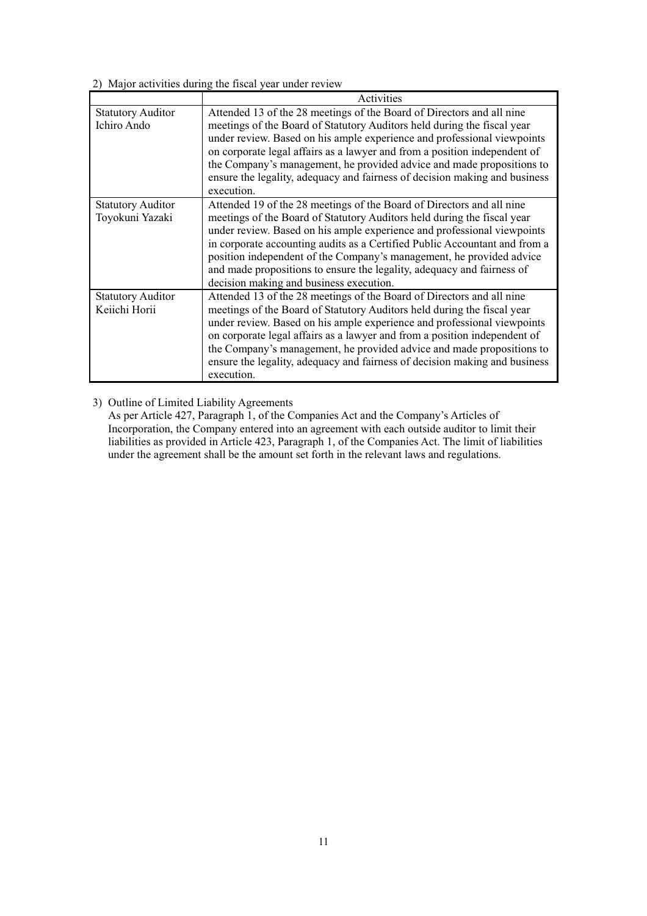2) Major activities during the fiscal year under review

|                                             | Activities                                                                                                                                                                                                                                                                                                                                                                                                                                                                                             |
|---------------------------------------------|--------------------------------------------------------------------------------------------------------------------------------------------------------------------------------------------------------------------------------------------------------------------------------------------------------------------------------------------------------------------------------------------------------------------------------------------------------------------------------------------------------|
| <b>Statutory Auditor</b><br>Ichiro Ando     | Attended 13 of the 28 meetings of the Board of Directors and all nine<br>meetings of the Board of Statutory Auditors held during the fiscal year<br>under review. Based on his ample experience and professional viewpoints<br>on corporate legal affairs as a lawyer and from a position independent of<br>the Company's management, he provided advice and made propositions to<br>ensure the legality, adequacy and fairness of decision making and business<br>execution.                          |
| <b>Statutory Auditor</b><br>Toyokuni Yazaki | Attended 19 of the 28 meetings of the Board of Directors and all nine<br>meetings of the Board of Statutory Auditors held during the fiscal year<br>under review. Based on his ample experience and professional viewpoints<br>in corporate accounting audits as a Certified Public Accountant and from a<br>position independent of the Company's management, he provided advice<br>and made propositions to ensure the legality, adequacy and fairness of<br>decision making and business execution. |
| <b>Statutory Auditor</b><br>Keiichi Horii   | Attended 13 of the 28 meetings of the Board of Directors and all nine<br>meetings of the Board of Statutory Auditors held during the fiscal year<br>under review. Based on his ample experience and professional viewpoints<br>on corporate legal affairs as a lawyer and from a position independent of<br>the Company's management, he provided advice and made propositions to<br>ensure the legality, adequacy and fairness of decision making and business<br>execution.                          |

3) Outline of Limited Liability Agreements

As per Article 427, Paragraph 1, of the Companies Act and the Company's Articles of Incorporation, the Company entered into an agreement with each outside auditor to limit their liabilities as provided in Article 423, Paragraph 1, of the Companies Act. The limit of liabilities under the agreement shall be the amount set forth in the relevant laws and regulations.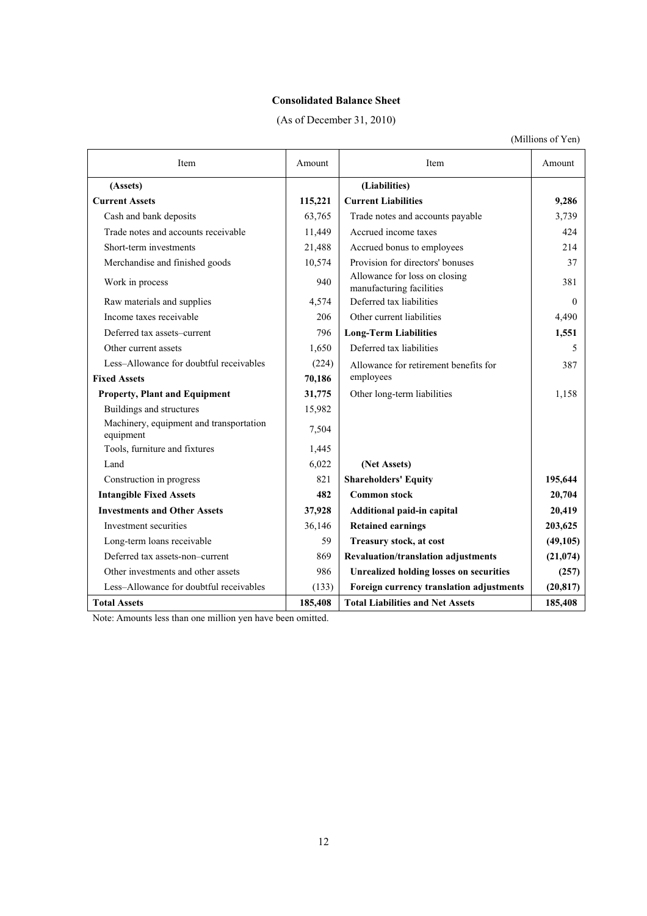# **Consolidated Balance Sheet**

(As of December 31, 2010)

(Millions of Yen)

| Item                                                 | Amount  | <b>Item</b>                                               | Amount    |
|------------------------------------------------------|---------|-----------------------------------------------------------|-----------|
| (Assets)                                             |         | (Liabilities)                                             |           |
| <b>Current Assets</b>                                | 115,221 | <b>Current Liabilities</b>                                | 9,286     |
| Cash and bank deposits                               | 63,765  | Trade notes and accounts payable                          | 3,739     |
| Trade notes and accounts receivable                  | 11,449  | Accrued income taxes                                      | 424       |
| Short-term investments                               | 21,488  | Accrued bonus to employees                                | 214       |
| Merchandise and finished goods                       | 10,574  | Provision for directors' bonuses                          | 37        |
| Work in process                                      | 940     | Allowance for loss on closing<br>manufacturing facilities | 381       |
| Raw materials and supplies                           | 4,574   | Deferred tax liabilities                                  | $\Omega$  |
| Income taxes receivable                              | 206     | Other current liabilities                                 | 4,490     |
| Deferred tax assets-current                          | 796     | <b>Long-Term Liabilities</b>                              | 1,551     |
| Other current assets                                 | 1,650   | Deferred tax liabilities                                  | 5         |
| Less-Allowance for doubtful receivables              | (224)   | Allowance for retirement benefits for                     | 387       |
| <b>Fixed Assets</b>                                  | 70,186  | employees                                                 |           |
| <b>Property, Plant and Equipment</b>                 | 31,775  | Other long-term liabilities                               | 1,158     |
| Buildings and structures                             | 15,982  |                                                           |           |
| Machinery, equipment and transportation<br>equipment | 7,504   |                                                           |           |
| Tools, furniture and fixtures                        | 1,445   |                                                           |           |
| Land                                                 | 6,022   | (Net Assets)                                              |           |
| Construction in progress                             | 821     | <b>Shareholders' Equity</b>                               | 195,644   |
| <b>Intangible Fixed Assets</b>                       | 482     | <b>Common stock</b>                                       | 20,704    |
| <b>Investments and Other Assets</b>                  | 37,928  | Additional paid-in capital                                | 20,419    |
| Investment securities                                | 36,146  | <b>Retained earnings</b>                                  | 203,625   |
| Long-term loans receivable                           | 59      | Treasury stock, at cost                                   | (49, 105) |
| Deferred tax assets-non-current                      | 869     | Revaluation/translation adjustments                       | (21,074)  |
| Other investments and other assets                   | 986     | <b>Unrealized holding losses on securities</b>            | (257)     |
| Less-Allowance for doubtful receivables              | (133)   | Foreign currency translation adjustments                  | (20, 817) |
| <b>Total Assets</b>                                  | 185,408 | <b>Total Liabilities and Net Assets</b>                   | 185,408   |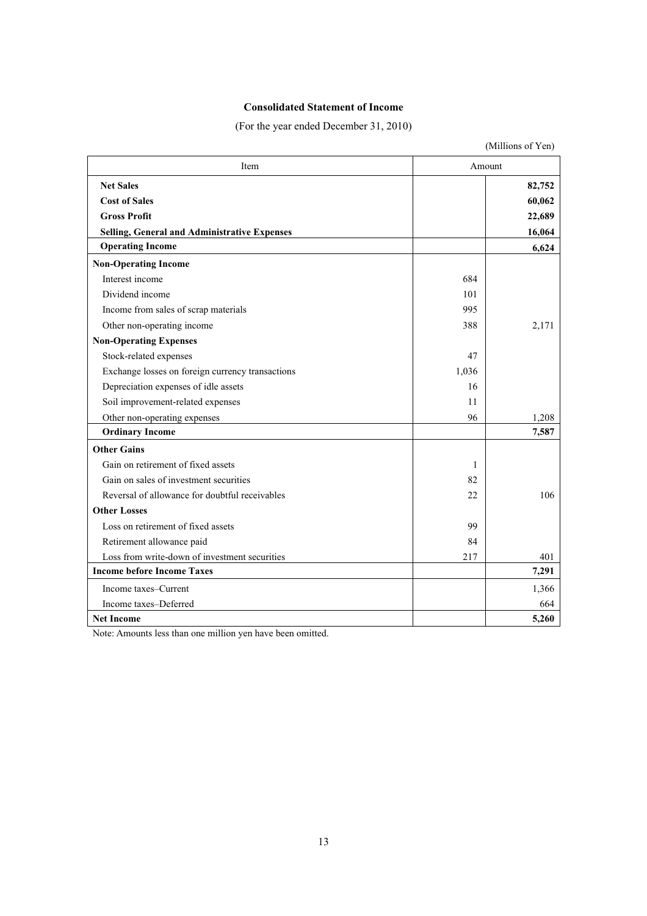# **Consolidated Statement of Income**

(For the year ended December 31, 2010)

|                                                     |        | (Millions of Yen) |  |
|-----------------------------------------------------|--------|-------------------|--|
| Item                                                | Amount |                   |  |
| <b>Net Sales</b>                                    |        | 82,752            |  |
| <b>Cost of Sales</b>                                |        | 60,062            |  |
| <b>Gross Profit</b>                                 |        | 22,689            |  |
| <b>Selling, General and Administrative Expenses</b> |        | 16,064            |  |
| <b>Operating Income</b>                             |        | 6,624             |  |
| <b>Non-Operating Income</b>                         |        |                   |  |
| Interest income                                     | 684    |                   |  |
| Dividend income                                     | 101    |                   |  |
| Income from sales of scrap materials                | 995    |                   |  |
| Other non-operating income                          | 388    | 2,171             |  |
| <b>Non-Operating Expenses</b>                       |        |                   |  |
| Stock-related expenses                              | 47     |                   |  |
| Exchange losses on foreign currency transactions    | 1,036  |                   |  |
| Depreciation expenses of idle assets                | 16     |                   |  |
| Soil improvement-related expenses                   | 11     |                   |  |
| Other non-operating expenses                        | 96     | 1,208             |  |
| <b>Ordinary Income</b>                              |        | 7,587             |  |
| <b>Other Gains</b>                                  |        |                   |  |
| Gain on retirement of fixed assets                  | 1      |                   |  |
| Gain on sales of investment securities              | 82     |                   |  |
| Reversal of allowance for doubtful receivables      | 22     | 106               |  |
| <b>Other Losses</b>                                 |        |                   |  |
| Loss on retirement of fixed assets                  | 99     |                   |  |
| Retirement allowance paid                           | 84     |                   |  |
| Loss from write-down of investment securities       | 217    | 401               |  |
| <b>Income before Income Taxes</b>                   |        | 7,291             |  |
| Income taxes–Current                                |        | 1,366             |  |
| Income taxes-Deferred                               |        | 664               |  |
| <b>Net Income</b>                                   |        | 5,260             |  |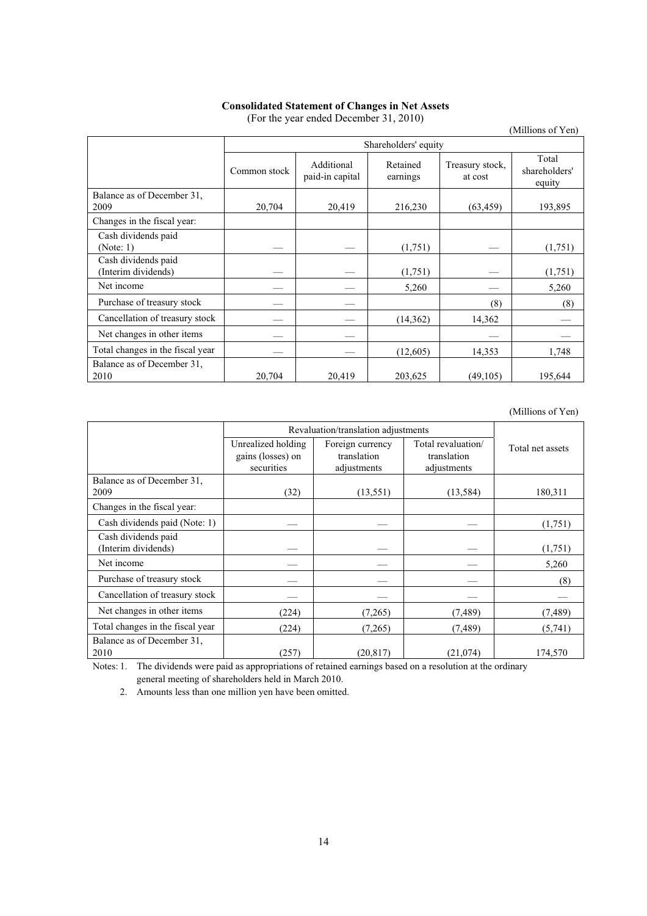# **Consolidated Statement of Changes in Net Assets**

|                                            |              |                               |                      |                            | (Millions of Yen)                |  |  |
|--------------------------------------------|--------------|-------------------------------|----------------------|----------------------------|----------------------------------|--|--|
|                                            |              | Shareholders' equity          |                      |                            |                                  |  |  |
|                                            | Common stock | Additional<br>paid-in capital | Retained<br>earnings | Treasury stock,<br>at cost | Total<br>shareholders'<br>equity |  |  |
| Balance as of December 31,<br>2009         | 20,704       | 20,419                        | 216,230              | (63, 459)                  | 193,895                          |  |  |
| Changes in the fiscal year:                |              |                               |                      |                            |                                  |  |  |
| Cash dividends paid<br>(Note: 1)           |              |                               | (1,751)              |                            | (1,751)                          |  |  |
| Cash dividends paid<br>(Interim dividends) |              |                               | (1,751)              |                            | (1,751)                          |  |  |
| Net income                                 |              |                               | 5,260                |                            | 5,260                            |  |  |
| Purchase of treasury stock                 |              |                               |                      | (8)                        | (8)                              |  |  |
| Cancellation of treasury stock             |              |                               | (14, 362)            | 14,362                     |                                  |  |  |
| Net changes in other items                 |              |                               |                      |                            |                                  |  |  |
| Total changes in the fiscal year           |              |                               | (12,605)             | 14,353                     | 1,748                            |  |  |
| Balance as of December 31,<br>2010         | 20,704       | 20,419                        | 203,625              | (49, 105)                  | 195,644                          |  |  |

(For the year ended December 31, 2010)

(Millions of Yen)

|                                  | Revaluation/translation adjustments     |                                 |                                   |                  |
|----------------------------------|-----------------------------------------|---------------------------------|-----------------------------------|------------------|
|                                  | Unrealized holding<br>gains (losses) on | Foreign currency<br>translation | Total revaluation/<br>translation | Total net assets |
|                                  | securities                              | adjustments                     | adjustments                       |                  |
| Balance as of December 31,       |                                         |                                 |                                   |                  |
| 2009                             | (32)                                    | (13, 551)                       | (13, 584)                         | 180,311          |
| Changes in the fiscal year:      |                                         |                                 |                                   |                  |
| Cash dividends paid (Note: 1)    |                                         |                                 |                                   | (1,751)          |
| Cash dividends paid              |                                         |                                 |                                   |                  |
| (Interim dividends)              |                                         |                                 |                                   | (1,751)          |
| Net income                       |                                         |                                 |                                   | 5,260            |
| Purchase of treasury stock       |                                         |                                 |                                   | (8)              |
| Cancellation of treasury stock   |                                         |                                 |                                   |                  |
| Net changes in other items       | (224)                                   | (7,265)                         | (7, 489)                          | (7, 489)         |
| Total changes in the fiscal year | (224)                                   | (7,265)                         | (7, 489)                          | (5,741)          |
| Balance as of December 31,       |                                         |                                 |                                   |                  |
| 2010                             | (257)                                   | (20, 817)                       | (21,074)                          | 174,570          |

Notes: 1. The dividends were paid as appropriations of retained earnings based on a resolution at the ordinary general meeting of shareholders held in March 2010.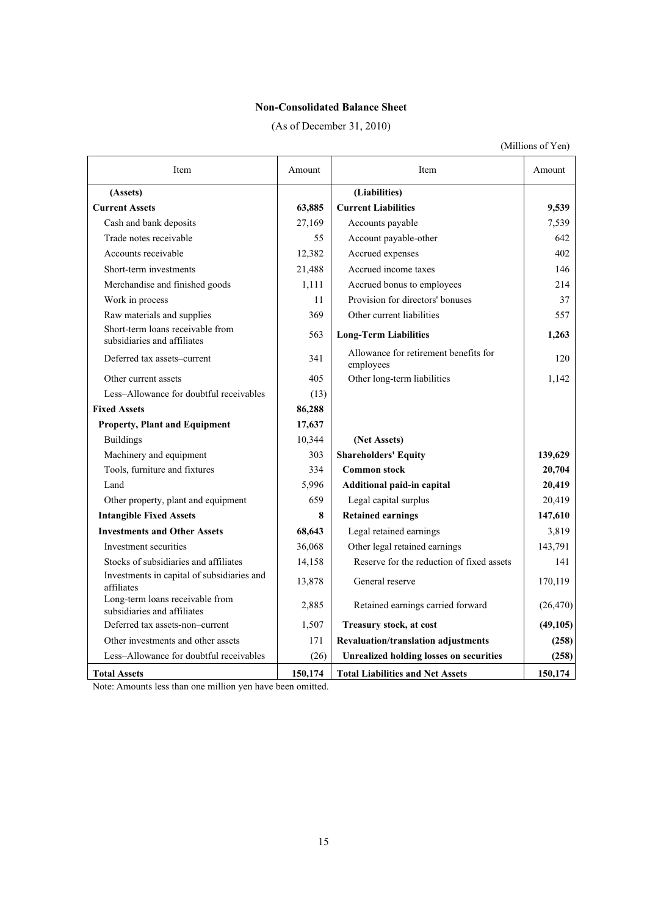# **Non-Consolidated Balance Sheet**

(As of December 31, 2010)

(Millions of Yen)

| Item                                                            | Amount  | Item                                               | Amount    |
|-----------------------------------------------------------------|---------|----------------------------------------------------|-----------|
| (Assets)                                                        |         | (Liabilities)                                      |           |
| <b>Current Assets</b>                                           | 63,885  | <b>Current Liabilities</b>                         | 9,539     |
| Cash and bank deposits                                          | 27,169  | Accounts payable                                   | 7,539     |
| Trade notes receivable                                          | 55      | Account payable-other                              | 642       |
| Accounts receivable                                             | 12,382  | Accrued expenses                                   | 402       |
| Short-term investments                                          | 21,488  | Accrued income taxes                               | 146       |
| Merchandise and finished goods                                  | 1,111   | Accrued bonus to employees                         | 214       |
| Work in process                                                 | 11      | Provision for directors' bonuses                   | 37        |
| Raw materials and supplies                                      | 369     | Other current liabilities                          | 557       |
| Short-term loans receivable from<br>subsidiaries and affiliates | 563     | <b>Long-Term Liabilities</b>                       | 1,263     |
| Deferred tax assets-current                                     | 341     | Allowance for retirement benefits for<br>employees | 120       |
| Other current assets                                            | 405     | Other long-term liabilities                        | 1,142     |
| Less-Allowance for doubtful receivables                         | (13)    |                                                    |           |
| <b>Fixed Assets</b>                                             | 86,288  |                                                    |           |
| <b>Property, Plant and Equipment</b>                            | 17,637  |                                                    |           |
| <b>Buildings</b>                                                | 10,344  | (Net Assets)                                       |           |
| Machinery and equipment                                         | 303     | <b>Shareholders' Equity</b>                        | 139,629   |
| Tools, furniture and fixtures                                   | 334     | <b>Common stock</b>                                | 20,704    |
| Land                                                            | 5,996   | Additional paid-in capital                         | 20,419    |
| Other property, plant and equipment                             | 659     | Legal capital surplus                              | 20,419    |
| <b>Intangible Fixed Assets</b>                                  | 8       | <b>Retained earnings</b>                           | 147,610   |
| <b>Investments and Other Assets</b>                             | 68,643  | Legal retained earnings                            | 3,819     |
| Investment securities                                           | 36,068  | Other legal retained earnings                      | 143,791   |
| Stocks of subsidiaries and affiliates                           | 14,158  | Reserve for the reduction of fixed assets          | 141       |
| Investments in capital of subsidiaries and<br>affiliates        | 13,878  | General reserve                                    | 170,119   |
| Long-term loans receivable from<br>subsidiaries and affiliates  | 2,885   | Retained earnings carried forward                  | (26, 470) |
| Deferred tax assets-non-current                                 | 1,507   | Treasury stock, at cost                            | (49,105)  |
| Other investments and other assets                              | 171     | Revaluation/translation adjustments                | (258)     |
| Less-Allowance for doubtful receivables                         | (26)    | <b>Unrealized holding losses on securities</b>     | (258)     |
| <b>Total Assets</b>                                             | 150,174 | <b>Total Liabilities and Net Assets</b>            | 150,174   |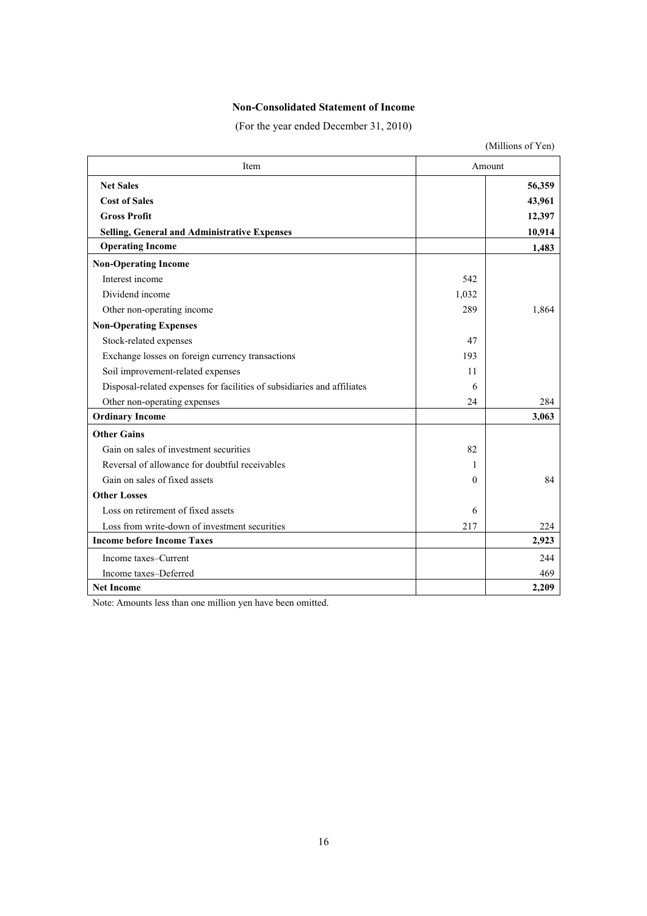# **Non-Consolidated Statement of Income**

(For the year ended December 31, 2010)

|                                                                         |          | (Millions of Yen) |
|-------------------------------------------------------------------------|----------|-------------------|
| Item                                                                    |          | Amount            |
| <b>Net Sales</b>                                                        |          | 56,359            |
| <b>Cost of Sales</b>                                                    |          | 43,961            |
| <b>Gross Profit</b>                                                     |          | 12,397            |
| Selling, General and Administrative Expenses                            |          | 10,914            |
| <b>Operating Income</b>                                                 |          | 1,483             |
| <b>Non-Operating Income</b>                                             |          |                   |
| Interest income                                                         | 542      |                   |
| Dividend income                                                         | 1,032    |                   |
| Other non-operating income                                              | 289      | 1,864             |
| <b>Non-Operating Expenses</b>                                           |          |                   |
| Stock-related expenses                                                  | 47       |                   |
| Exchange losses on foreign currency transactions                        | 193      |                   |
| Soil improvement-related expenses                                       | 11       |                   |
| Disposal-related expenses for facilities of subsidiaries and affiliates | 6        |                   |
| Other non-operating expenses                                            | 24       | 284               |
| <b>Ordinary Income</b>                                                  |          | 3,063             |
| <b>Other Gains</b>                                                      |          |                   |
| Gain on sales of investment securities                                  | 82       |                   |
| Reversal of allowance for doubtful receivables                          | 1        |                   |
| Gain on sales of fixed assets                                           | $\Omega$ | 84                |
| <b>Other Losses</b>                                                     |          |                   |
| Loss on retirement of fixed assets                                      | 6        |                   |
| Loss from write-down of investment securities                           | 217      | 224               |
| <b>Income before Income Taxes</b>                                       |          | 2,923             |
| Income taxes–Current                                                    |          | 244               |
| Income taxes-Deferred                                                   |          | 469               |
| <b>Net Income</b>                                                       |          | 2,209             |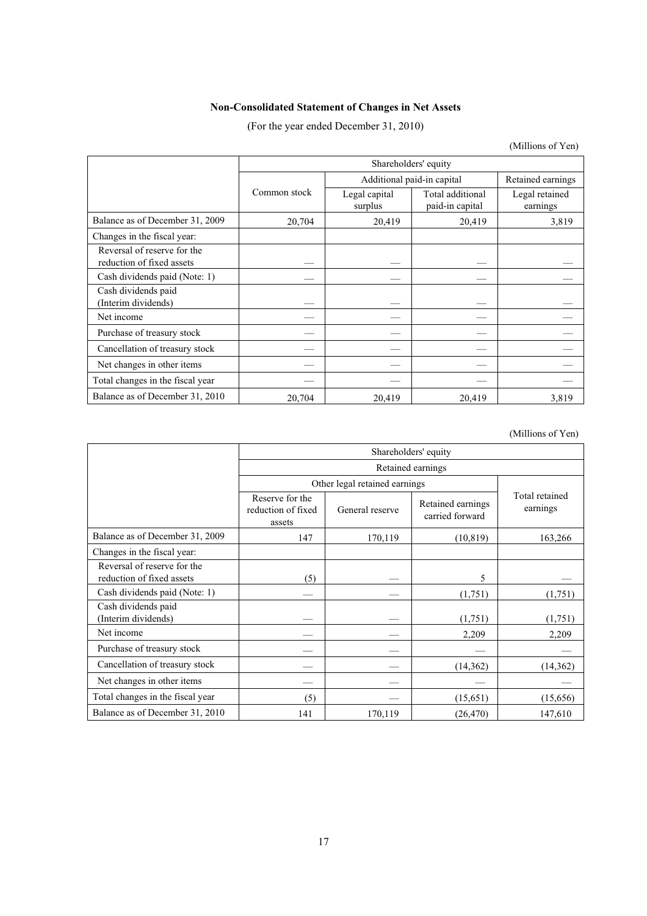# **Non-Consolidated Statement of Changes in Net Assets**

(For the year ended December 31, 2010)

(Millions of Yen)

|                                                          | Shareholders' equity |                          |                                     |                            |  |
|----------------------------------------------------------|----------------------|--------------------------|-------------------------------------|----------------------------|--|
|                                                          |                      |                          | Additional paid-in capital          |                            |  |
|                                                          | Common stock         | Legal capital<br>surplus | Total additional<br>paid-in capital | Legal retained<br>earnings |  |
| Balance as of December 31, 2009                          | 20,704               | 20,419                   | 20,419                              | 3,819                      |  |
| Changes in the fiscal year:                              |                      |                          |                                     |                            |  |
| Reversal of reserve for the<br>reduction of fixed assets |                      |                          |                                     |                            |  |
| Cash dividends paid (Note: 1)                            |                      |                          |                                     |                            |  |
| Cash dividends paid<br>(Interim dividends)               |                      |                          |                                     |                            |  |
| Net income                                               |                      |                          |                                     |                            |  |
| Purchase of treasury stock                               |                      |                          |                                     |                            |  |
| Cancellation of treasury stock                           |                      |                          |                                     |                            |  |
| Net changes in other items                               |                      |                          |                                     |                            |  |
| Total changes in the fiscal year                         |                      |                          |                                     |                            |  |
| Balance as of December 31, 2010                          | 20,704               | 20,419                   | 20,419                              | 3,819                      |  |

(Millions of Yen)

|                                                          | Shareholders' equity                            |                               |                                      |                            |
|----------------------------------------------------------|-------------------------------------------------|-------------------------------|--------------------------------------|----------------------------|
|                                                          | Retained earnings                               |                               |                                      |                            |
|                                                          |                                                 | Other legal retained earnings |                                      |                            |
|                                                          | Reserve for the<br>reduction of fixed<br>assets | General reserve               | Retained earnings<br>carried forward | Total retained<br>earnings |
| Balance as of December 31, 2009                          | 147                                             | 170,119                       | (10, 819)                            | 163,266                    |
| Changes in the fiscal year:                              |                                                 |                               |                                      |                            |
| Reversal of reserve for the<br>reduction of fixed assets | (5)                                             |                               | 5                                    |                            |
| Cash dividends paid (Note: 1)                            |                                                 |                               | (1,751)                              | (1,751)                    |
| Cash dividends paid<br>(Interim dividends)               |                                                 |                               | (1,751)                              | (1,751)                    |
| Net income                                               |                                                 |                               | 2,209                                | 2,209                      |
| Purchase of treasury stock                               |                                                 |                               |                                      |                            |
| Cancellation of treasury stock                           |                                                 |                               | (14,362)                             | (14, 362)                  |
| Net changes in other items                               |                                                 |                               |                                      |                            |
| Total changes in the fiscal year                         | (5)                                             |                               | (15,651)                             | (15,656)                   |
| Balance as of December 31, 2010                          | 141                                             | 170,119                       | (26, 470)                            | 147,610                    |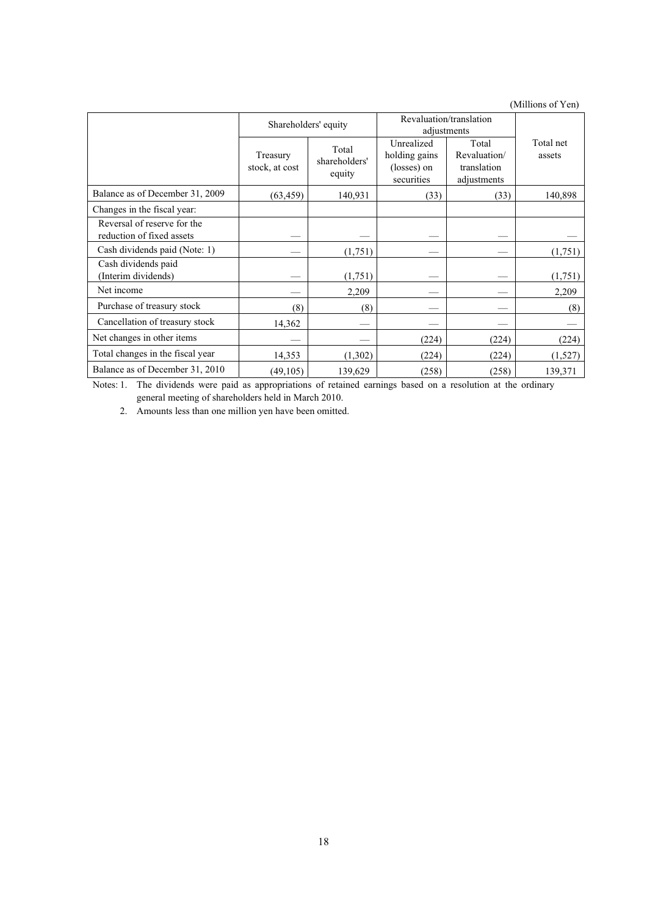(Millions of Yen)

|                                                          | Shareholders' equity       |                                  | Revaluation/translation<br>adjustments                   |                                                     |                     |
|----------------------------------------------------------|----------------------------|----------------------------------|----------------------------------------------------------|-----------------------------------------------------|---------------------|
|                                                          | Treasury<br>stock, at cost | Total<br>shareholders'<br>equity | Unrealized<br>holding gains<br>(losses) on<br>securities | Total<br>Revaluation/<br>translation<br>adjustments | Total net<br>assets |
| Balance as of December 31, 2009                          | (63, 459)                  | 140,931                          | (33)                                                     | (33)                                                | 140,898             |
| Changes in the fiscal year:                              |                            |                                  |                                                          |                                                     |                     |
| Reversal of reserve for the<br>reduction of fixed assets |                            |                                  |                                                          |                                                     |                     |
| Cash dividends paid (Note: 1)                            |                            | (1,751)                          |                                                          |                                                     | (1,751)             |
| Cash dividends paid<br>(Interim dividends)               |                            | (1,751)                          |                                                          |                                                     | (1,751)             |
| Net income                                               |                            | 2,209                            |                                                          |                                                     | 2,209               |
| Purchase of treasury stock                               | (8)                        | (8)                              |                                                          |                                                     | (8)                 |
| Cancellation of treasury stock                           | 14,362                     |                                  |                                                          |                                                     |                     |
| Net changes in other items                               |                            |                                  | (224)                                                    | (224)                                               | (224)               |
| Total changes in the fiscal year                         | 14,353                     | (1,302)                          | (224)                                                    | (224)                                               | (1,527)             |
| Balance as of December 31, 2010                          | (49,105)                   | 139,629                          | (258)                                                    | (258)                                               | 139,371             |

Notes: 1. The dividends were paid as appropriations of retained earnings based on a resolution at the ordinary general meeting of shareholders held in March 2010.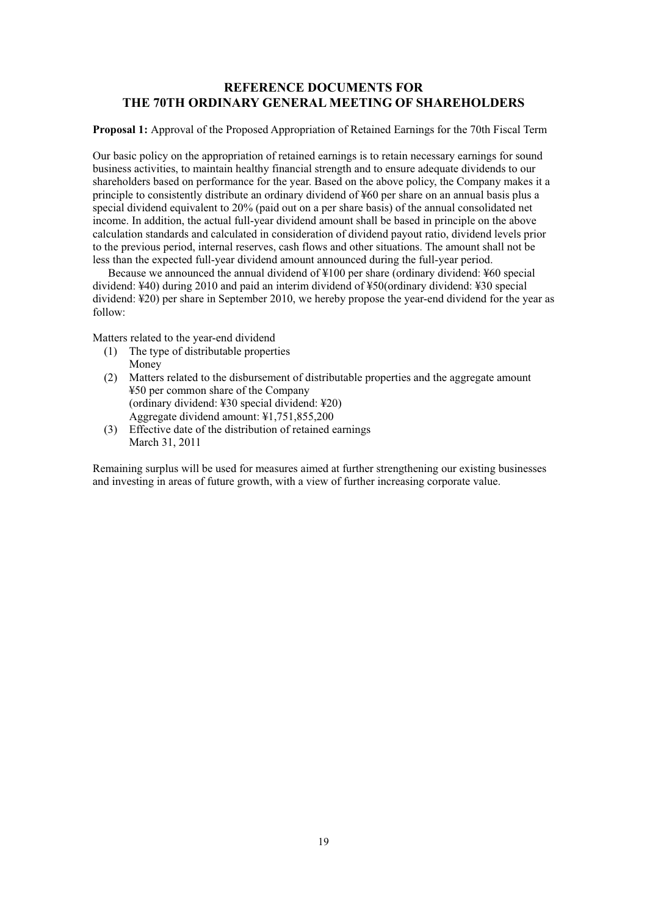# **REFERENCE DOCUMENTS FOR THE 70TH ORDINARY GENERAL MEETING OF SHAREHOLDERS**

**Proposal 1:** Approval of the Proposed Appropriation of Retained Earnings for the 70th Fiscal Term

Our basic policy on the appropriation of retained earnings is to retain necessary earnings for sound business activities, to maintain healthy financial strength and to ensure adequate dividends to our shareholders based on performance for the year. Based on the above policy, the Company makes it a principle to consistently distribute an ordinary dividend of ¥60 per share on an annual basis plus a special dividend equivalent to 20% (paid out on a per share basis) of the annual consolidated net income. In addition, the actual full-year dividend amount shall be based in principle on the above calculation standards and calculated in consideration of dividend payout ratio, dividend levels prior to the previous period, internal reserves, cash flows and other situations. The amount shall not be less than the expected full-year dividend amount announced during the full-year period.

Because we announced the annual dividend of ¥100 per share (ordinary dividend: ¥60 special dividend: ¥40) during 2010 and paid an interim dividend of ¥50(ordinary dividend: ¥30 special dividend: ¥20) per share in September 2010, we hereby propose the year-end dividend for the year as follow:

Matters related to the year-end dividend

- (1) The type of distributable properties Money
- (2) Matters related to the disbursement of distributable properties and the aggregate amount ¥50 per common share of the Company (ordinary dividend: ¥30 special dividend: ¥20) Aggregate dividend amount: ¥1,751,855,200
- (3) Effective date of the distribution of retained earnings March 31, 2011

Remaining surplus will be used for measures aimed at further strengthening our existing businesses and investing in areas of future growth, with a view of further increasing corporate value.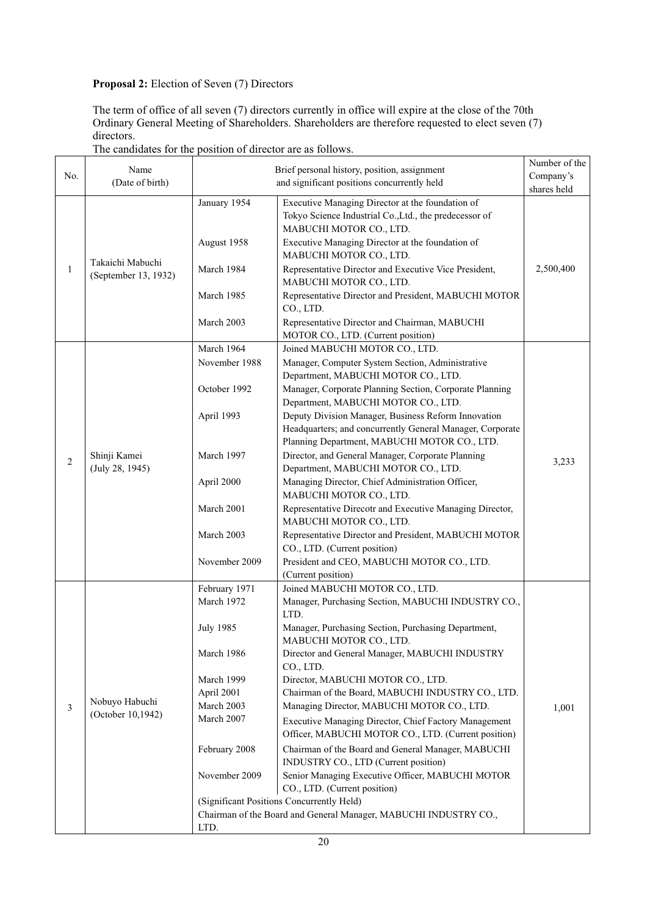# **Proposal 2:** Election of Seven (7) Directors

The term of office of all seven (7) directors currently in office will expire at the close of the 70th Ordinary General Meeting of Shareholders. Shareholders are therefore requested to elect seven (7) directors.

|              | Name                                     | Brief personal history, position, assignment                     | Number of the                                                                                              |           |  |
|--------------|------------------------------------------|------------------------------------------------------------------|------------------------------------------------------------------------------------------------------------|-----------|--|
| No.          | (Date of birth)                          |                                                                  | Company's<br>shares held                                                                                   |           |  |
|              |                                          |                                                                  | and significant positions concurrently held                                                                |           |  |
|              |                                          | January 1954                                                     | Executive Managing Director at the foundation of<br>Tokyo Science Industrial Co., Ltd., the predecessor of |           |  |
|              |                                          |                                                                  | MABUCHI MOTOR CO., LTD.                                                                                    |           |  |
|              |                                          | August 1958                                                      | Executive Managing Director at the foundation of<br>MABUCHI MOTOR CO., LTD.                                |           |  |
| $\mathbf{1}$ | Takaichi Mabuchi<br>(September 13, 1932) | March 1984                                                       | Representative Director and Executive Vice President,                                                      | 2,500,400 |  |
|              |                                          |                                                                  | MABUCHI MOTOR CO., LTD.                                                                                    |           |  |
|              |                                          | March 1985                                                       | Representative Director and President, MABUCHI MOTOR<br>CO., LTD.                                          |           |  |
|              |                                          | March 2003                                                       | Representative Director and Chairman, MABUCHI                                                              |           |  |
|              |                                          |                                                                  | MOTOR CO., LTD. (Current position)                                                                         |           |  |
|              |                                          | March 1964                                                       | Joined MABUCHI MOTOR CO., LTD.                                                                             |           |  |
|              |                                          | November 1988                                                    | Manager, Computer System Section, Administrative                                                           |           |  |
|              |                                          |                                                                  | Department, MABUCHI MOTOR CO., LTD.                                                                        |           |  |
|              |                                          | October 1992                                                     | Manager, Corporate Planning Section, Corporate Planning                                                    |           |  |
|              |                                          |                                                                  | Department, MABUCHI MOTOR CO., LTD.                                                                        |           |  |
|              |                                          | April 1993                                                       | Deputy Division Manager, Business Reform Innovation                                                        |           |  |
|              |                                          |                                                                  | Headquarters; and concurrently General Manager, Corporate                                                  |           |  |
|              |                                          |                                                                  | Planning Department, MABUCHI MOTOR CO., LTD.                                                               |           |  |
| 2            | Shinji Kamei                             | March 1997                                                       | Director, and General Manager, Corporate Planning                                                          | 3,233     |  |
|              | (July 28, 1945)                          |                                                                  | Department, MABUCHI MOTOR CO., LTD.                                                                        |           |  |
|              |                                          | April 2000                                                       | Managing Director, Chief Administration Officer,<br>MABUCHI MOTOR CO., LTD.                                |           |  |
|              |                                          | March 2001                                                       | Representative Direcotr and Executive Managing Director,                                                   |           |  |
|              |                                          |                                                                  | MABUCHI MOTOR CO., LTD.                                                                                    |           |  |
|              |                                          | March 2003                                                       | Representative Director and President, MABUCHI MOTOR                                                       |           |  |
|              |                                          |                                                                  | CO., LTD. (Current position)                                                                               |           |  |
|              |                                          | November 2009                                                    | President and CEO, MABUCHI MOTOR CO., LTD.                                                                 |           |  |
|              |                                          |                                                                  | (Current position)                                                                                         |           |  |
|              |                                          | February 1971                                                    | Joined MABUCHI MOTOR CO., LTD.                                                                             |           |  |
|              |                                          | March 1972                                                       | Manager, Purchasing Section, MABUCHI INDUSTRY CO.,                                                         |           |  |
|              |                                          |                                                                  | LTD.                                                                                                       |           |  |
|              |                                          | <b>July 1985</b>                                                 | Manager, Purchasing Section, Purchasing Department,                                                        |           |  |
|              |                                          |                                                                  | MABUCHI MOTOR CO., LTD.                                                                                    |           |  |
|              |                                          | March 1986                                                       | Director and General Manager, MABUCHI INDUSTRY<br>CO., LTD.                                                |           |  |
|              |                                          | March 1999                                                       | Director, MABUCHI MOTOR CO., LTD.                                                                          |           |  |
|              |                                          | April 2001                                                       | Chairman of the Board, MABUCHI INDUSTRY CO., LTD.                                                          |           |  |
| 3            | Nobuyo Habuchi                           | March 2003                                                       | Managing Director, MABUCHI MOTOR CO., LTD.                                                                 | 1,001     |  |
|              | (October 10,1942)                        | March 2007                                                       | Executive Managing Director, Chief Factory Management                                                      |           |  |
|              |                                          |                                                                  | Officer, MABUCHI MOTOR CO., LTD. (Current position)                                                        |           |  |
|              |                                          | February 2008                                                    | Chairman of the Board and General Manager, MABUCHI                                                         |           |  |
|              |                                          |                                                                  | INDUSTRY CO., LTD (Current position)                                                                       |           |  |
|              |                                          | November 2009                                                    | Senior Managing Executive Officer, MABUCHI MOTOR                                                           |           |  |
|              |                                          |                                                                  | CO., LTD. (Current position)                                                                               |           |  |
|              |                                          |                                                                  | (Significant Positions Concurrently Held)                                                                  |           |  |
|              |                                          | Chairman of the Board and General Manager, MABUCHI INDUSTRY CO., |                                                                                                            |           |  |
|              |                                          | LTD.                                                             |                                                                                                            |           |  |

# The candidates for the position of director are as follows.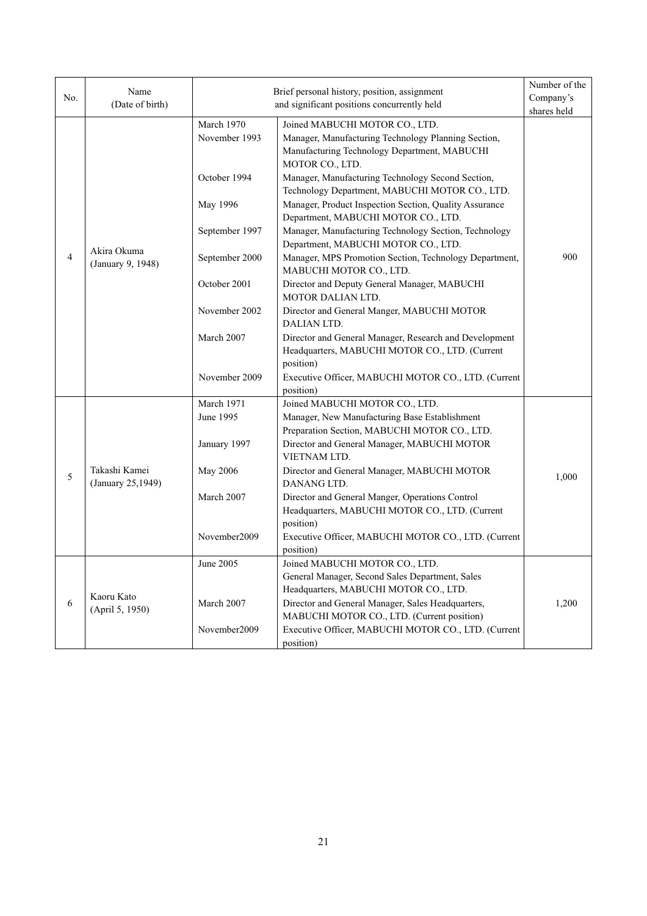| No.            | Name<br>(Date of birth)            | Number of the<br>Brief personal history, position, assignment<br>Company's<br>and significant positions concurrently held |                                                                                                                                                          |             |
|----------------|------------------------------------|---------------------------------------------------------------------------------------------------------------------------|----------------------------------------------------------------------------------------------------------------------------------------------------------|-------------|
|                |                                    |                                                                                                                           |                                                                                                                                                          | shares held |
|                |                                    | March 1970<br>November 1993                                                                                               | Joined MABUCHI MOTOR CO., LTD.<br>Manager, Manufacturing Technology Planning Section,<br>Manufacturing Technology Department, MABUCHI<br>MOTOR CO., LTD. |             |
|                |                                    | October 1994                                                                                                              | Manager, Manufacturing Technology Second Section,<br>Technology Department, MABUCHI MOTOR CO., LTD.                                                      |             |
|                |                                    | May 1996                                                                                                                  | Manager, Product Inspection Section, Quality Assurance<br>Department, MABUCHI MOTOR CO., LTD.                                                            |             |
|                |                                    | September 1997                                                                                                            | Manager, Manufacturing Technology Section, Technology<br>Department, MABUCHI MOTOR CO., LTD.                                                             |             |
| $\overline{4}$ | Akira Okuma<br>(January 9, 1948)   | September 2000                                                                                                            | Manager, MPS Promotion Section, Technology Department,<br>MABUCHI MOTOR CO., LTD.                                                                        | 900         |
|                |                                    | October 2001                                                                                                              | Director and Deputy General Manager, MABUCHI<br>MOTOR DALIAN LTD.                                                                                        |             |
|                |                                    | November 2002                                                                                                             | Director and General Manger, MABUCHI MOTOR<br>DALIAN LTD.                                                                                                |             |
|                |                                    | March 2007                                                                                                                | Director and General Manager, Research and Development<br>Headquarters, MABUCHI MOTOR CO., LTD. (Current<br>position)                                    |             |
|                |                                    | November 2009                                                                                                             | Executive Officer, MABUCHI MOTOR CO., LTD. (Current<br>position)                                                                                         |             |
|                |                                    | March 1971                                                                                                                | Joined MABUCHI MOTOR CO., LTD.                                                                                                                           |             |
|                |                                    | June 1995                                                                                                                 | Manager, New Manufacturing Base Establishment<br>Preparation Section, MABUCHI MOTOR CO., LTD.                                                            |             |
|                |                                    | January 1997                                                                                                              | Director and General Manager, MABUCHI MOTOR<br>VIETNAM LTD.                                                                                              |             |
| 5              | Takashi Kamei<br>(January 25,1949) | May 2006                                                                                                                  | Director and General Manager, MABUCHI MOTOR<br>DANANG LTD.                                                                                               | 1,000       |
|                |                                    | March 2007                                                                                                                | Director and General Manger, Operations Control<br>Headquarters, MABUCHI MOTOR CO., LTD. (Current<br>position)                                           |             |
|                |                                    | November2009                                                                                                              | Executive Officer, MABUCHI MOTOR CO., LTD. (Current<br>position)                                                                                         |             |
|                |                                    | June 2005                                                                                                                 | Joined MABUCHI MOTOR CO., LTD.<br>General Manager, Second Sales Department, Sales                                                                        |             |
| 6              | Kaoru Kato<br>(April 5, 1950)      | March 2007                                                                                                                | Headquarters, MABUCHI MOTOR CO., LTD.<br>Director and General Manager, Sales Headquarters,<br>MABUCHI MOTOR CO., LTD. (Current position)                 | 1,200       |
|                |                                    | November2009                                                                                                              | Executive Officer, MABUCHI MOTOR CO., LTD. (Current<br>position)                                                                                         |             |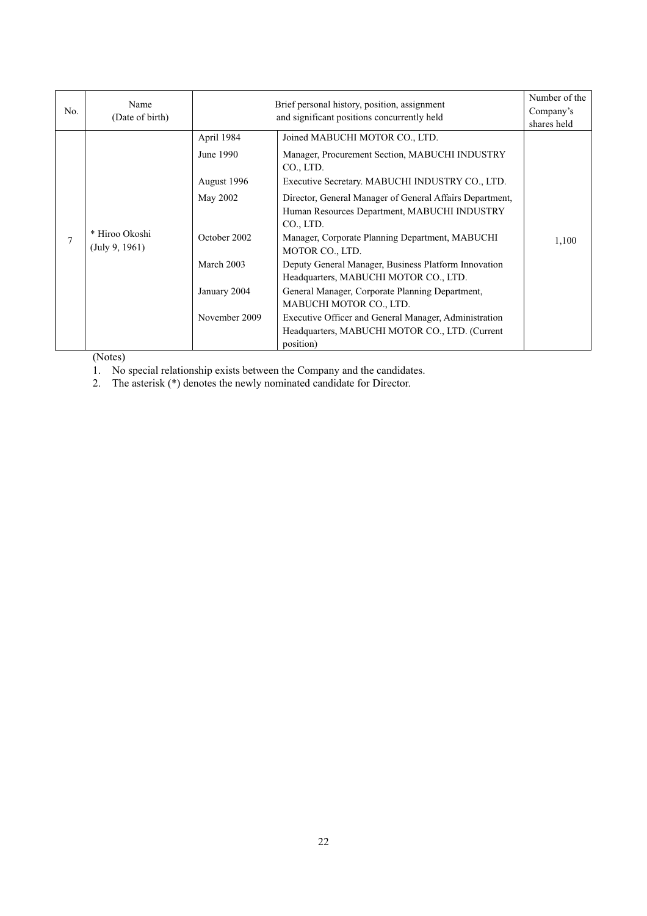| No. | Name<br>(Date of birth)          |               | Brief personal history, position, assignment<br>and significant positions concurrently held                           | Number of the<br>Company's<br>shares held |
|-----|----------------------------------|---------------|-----------------------------------------------------------------------------------------------------------------------|-------------------------------------------|
|     |                                  | April 1984    | Joined MABUCHI MOTOR CO., LTD.                                                                                        |                                           |
|     |                                  | June 1990     | Manager, Procurement Section, MABUCHI INDUSTRY<br>CO., LTD.                                                           |                                           |
|     |                                  | August 1996   | Executive Secretary. MABUCHI INDUSTRY CO., LTD.                                                                       |                                           |
|     |                                  | May 2002      | Director, General Manager of General Affairs Department,<br>Human Resources Department, MABUCHI INDUSTRY<br>CO., LTD. |                                           |
| 7   | * Hiroo Okoshi<br>(July 9, 1961) | October 2002  | Manager, Corporate Planning Department, MABUCHI<br>MOTOR CO., LTD.                                                    | 1,100                                     |
|     |                                  | March 2003    | Deputy General Manager, Business Platform Innovation<br>Headquarters, MABUCHI MOTOR CO., LTD.                         |                                           |
|     |                                  | January 2004  | General Manager, Corporate Planning Department,                                                                       |                                           |
|     |                                  |               | MABUCHI MOTOR CO., LTD.                                                                                               |                                           |
|     |                                  | November 2009 | Executive Officer and General Manager, Administration                                                                 |                                           |
|     |                                  |               | Headquarters, MABUCHI MOTOR CO., LTD. (Current<br>position)                                                           |                                           |

(Notes)

1. No special relationship exists between the Company and the candidates.

2. The asterisk (\*) denotes the newly nominated candidate for Director.